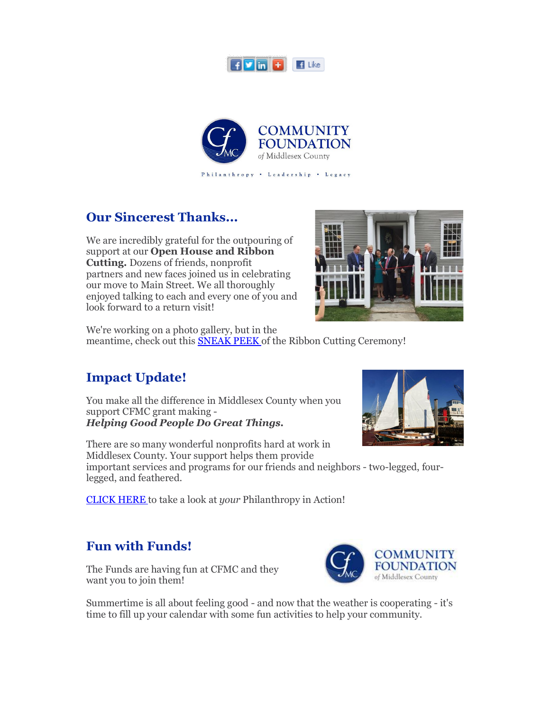



### **Our Sincerest Thanks...**

We are incredibly grateful for the outpouring of support at our **Open House and Ribbon Cutting.** Dozens of friends, nonprofit partners and new faces joined us in celebrating our move to Main Street. We all thoroughly enjoyed talking to each and every one of you and look forward to a return visit!



We're working on a photo gallery, but in the meantime, check out this **SNEAK PEEK** of the Ribbon Cutting Ceremony!

## **Impact Update!**

You make all the difference in Middlesex County when you support CFMC grant making - *Helping Good People Do Great Things.*

There are so many wonderful nonprofits hard at work in Middlesex County. Your support helps them provide important services and programs for our friends and neighbors - two-legged, fourlegged, and feathered.

CLICK HERE to take a look at *your* Philanthropy in Action!

## **Fun with Funds!**

The Funds are having fun at CFMC and they want you to join them!



Summertime is all about feeling good - and now that the weather is cooperating - it's time to fill up your calendar with some fun activities to help your community.

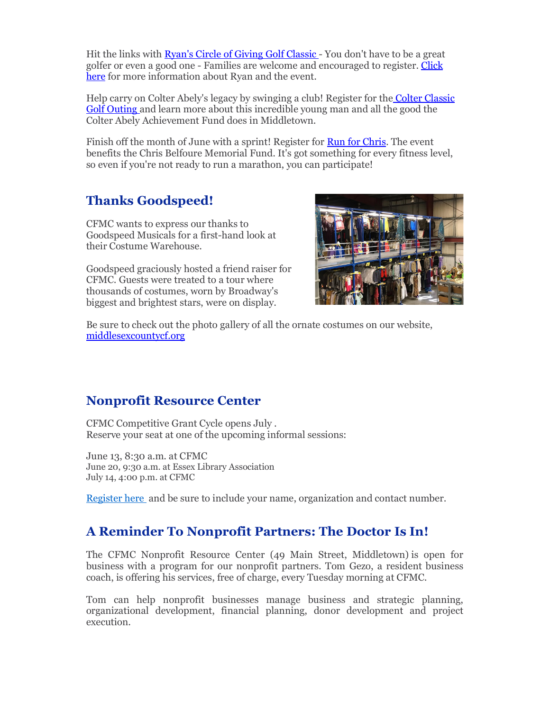Hit the links with Ryan's Circle of Giving Golf Classic - You don't have to be a great golfer or even a good one - Families are welcome and encouraged to register. Click here for more information about Ryan and the event.

Help carry on Colter Abely's legacy by swinging a club! Register for the Colter Classic Golf Outing and learn more about this incredible young man and all the good the Colter Abely Achievement Fund does in Middletown.

Finish off the month of June with a sprint! Register for **Run for Chris**. The event benefits the Chris Belfoure Memorial Fund. It's got something for every fitness level, so even if you're not ready to run a marathon, you can participate!

# **Thanks Goodspeed!**

CFMC wants to express our thanks to Goodspeed Musicals for a first-hand look at their Costume Warehouse.

Goodspeed graciously hosted a friend raiser for CFMC. Guests were treated to a tour where thousands of costumes, worn by Broadway's biggest and brightest stars, were on display.



Be sure to check out the photo gallery of all the ornate costumes on our website, middlesexcountycf.org

### **Nonprofit Resource Center**

CFMC Competitive Grant Cycle opens July . Reserve your seat at one of the upcoming informal sessions:

June 13, 8:30 a.m. at CFMC June 20, 9:30 a.m. at Essex Library Association July 14, 4:00 p.m. at CFMC

Register here and be sure to include your name, organization and contact number.

### **A Reminder To Nonprofit Partners: The Doctor Is In!**

The CFMC Nonprofit Resource Center (49 Main Street, Middletown) is open for business with a program for our nonprofit partners. Tom Gezo, a resident business coach, is offering his services, free of charge, every Tuesday morning at CFMC.

Tom can help nonprofit businesses manage business and strategic planning, organizational development, financial planning, donor development and project execution.